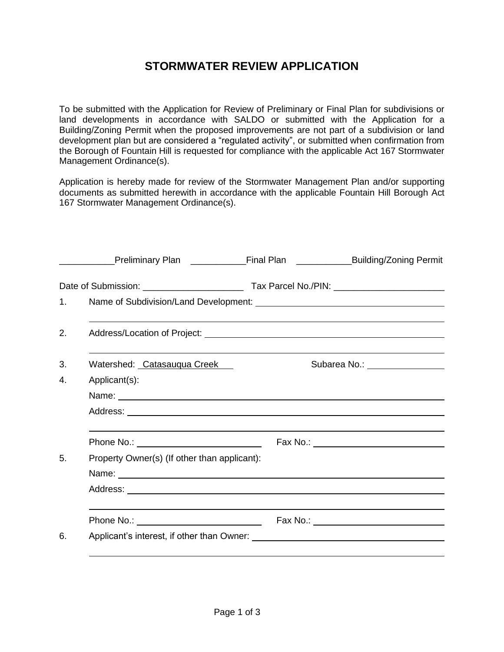## **STORMWATER REVIEW APPLICATION**

To be submitted with the Application for Review of Preliminary or Final Plan for subdivisions or land developments in accordance with SALDO or submitted with the Application for a Building/Zoning Permit when the proposed improvements are not part of a subdivision or land development plan but are considered a "regulated activity", or submitted when confirmation from the Borough of Fountain Hill is requested for compliance with the applicable Act 167 Stormwater Management Ordinance(s).

Application is hereby made for review of the Stormwater Management Plan and/or supporting documents as submitted herewith in accordance with the applicable Fountain Hill Borough Act 167 Stormwater Management Ordinance(s).

| 1.                          |                                                                                                                                                                                                     |
|-----------------------------|-----------------------------------------------------------------------------------------------------------------------------------------------------------------------------------------------------|
|                             |                                                                                                                                                                                                     |
| Watershed: Catasauqua Creek | Subarea No.: ________________                                                                                                                                                                       |
| Applicant(s):               |                                                                                                                                                                                                     |
|                             |                                                                                                                                                                                                     |
|                             |                                                                                                                                                                                                     |
|                             |                                                                                                                                                                                                     |
|                             |                                                                                                                                                                                                     |
|                             |                                                                                                                                                                                                     |
|                             |                                                                                                                                                                                                     |
|                             |                                                                                                                                                                                                     |
|                             |                                                                                                                                                                                                     |
|                             | Preliminary Plan _____________Final Plan _______________Building/Zoning Permit<br>Name: Name:<br>Phone No.: <u>________________________________</u><br>Property Owner(s) (If other than applicant): |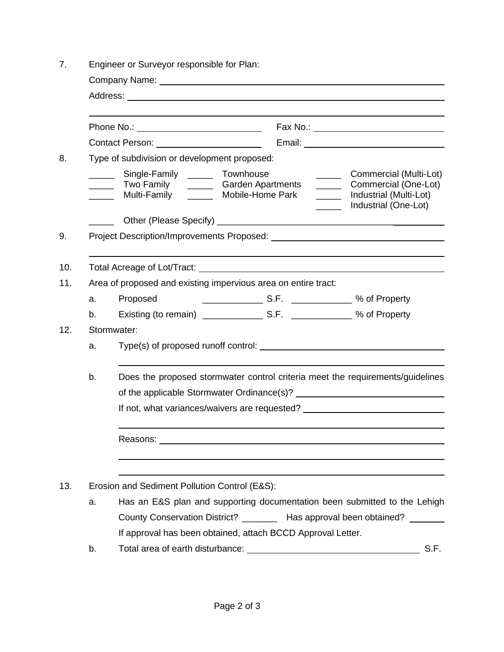| 7.  | Engineer or Surveyor responsible for Plan:                    |                                                                                                     |                                                                |                                                                                                                            |  |
|-----|---------------------------------------------------------------|-----------------------------------------------------------------------------------------------------|----------------------------------------------------------------|----------------------------------------------------------------------------------------------------------------------------|--|
|     |                                                               |                                                                                                     |                                                                |                                                                                                                            |  |
|     |                                                               |                                                                                                     |                                                                |                                                                                                                            |  |
|     |                                                               |                                                                                                     |                                                                |                                                                                                                            |  |
|     |                                                               |                                                                                                     |                                                                |                                                                                                                            |  |
| 8.  |                                                               | Type of subdivision or development proposed:                                                        |                                                                |                                                                                                                            |  |
|     | $\mathcal{L}^{\text{max}}$ , where $\mathcal{L}^{\text{max}}$ | Single-Family _______ Townhouse<br>______ Two Family ______ Garden Apartments<br>Multi-Family _____ | $\frac{1}{2}$<br>Mobile-Home Park                              | Commercial (Multi-Lot)<br>________ Commercial (One-Lot)<br>________ Industrial (Multi-Lot)<br>_______ Industrial (One-Lot) |  |
|     |                                                               |                                                                                                     |                                                                |                                                                                                                            |  |
| 9.  |                                                               |                                                                                                     |                                                                |                                                                                                                            |  |
|     |                                                               |                                                                                                     |                                                                |                                                                                                                            |  |
| 10. |                                                               |                                                                                                     |                                                                |                                                                                                                            |  |
| 11. |                                                               |                                                                                                     | Area of proposed and existing impervious area on entire tract: |                                                                                                                            |  |
|     | a.                                                            | Proposed                                                                                            |                                                                |                                                                                                                            |  |
|     | b.                                                            |                                                                                                     |                                                                |                                                                                                                            |  |
| 12. |                                                               | Stormwater:                                                                                         |                                                                |                                                                                                                            |  |
|     | a.                                                            |                                                                                                     |                                                                |                                                                                                                            |  |
|     | b.                                                            |                                                                                                     |                                                                | Does the proposed stormwater control criteria meet the requirements/guidelines                                             |  |
|     |                                                               |                                                                                                     |                                                                |                                                                                                                            |  |
|     | If not, what variances/waivers are requested?                 |                                                                                                     |                                                                |                                                                                                                            |  |
|     |                                                               |                                                                                                     |                                                                |                                                                                                                            |  |
|     |                                                               |                                                                                                     |                                                                |                                                                                                                            |  |
| 13. |                                                               | Erosion and Sediment Pollution Control (E&S):                                                       |                                                                |                                                                                                                            |  |
|     | a.                                                            |                                                                                                     |                                                                | Has an E&S plan and supporting documentation been submitted to the Lehigh                                                  |  |
|     |                                                               |                                                                                                     |                                                                | County Conservation District? _________ Has approval been obtained? _______                                                |  |
|     |                                                               |                                                                                                     | If approval has been obtained, attach BCCD Approval Letter.    |                                                                                                                            |  |
|     | b.                                                            |                                                                                                     |                                                                | S.F.                                                                                                                       |  |